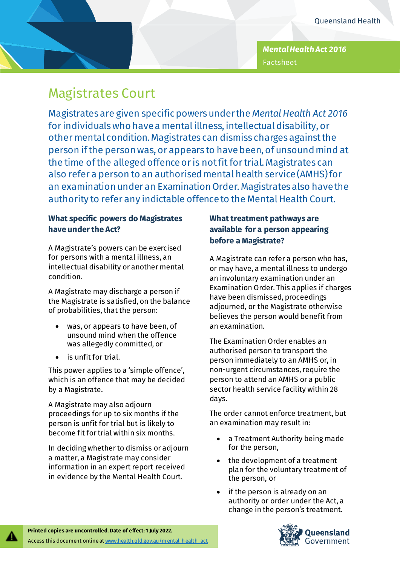*Mental Health Act 2016* Factsheet

# Magistrates Court

Magistrates are given specific powers under the *Mental Health Act 2016* for individuals who have a mental illness, intellectual disability, or other mental condition. Magistrates can dismiss charges against the person if the person was, or appears to have been, of unsound mind at the time of the alleged offence or is not fit for trial. Magistrates can also refer a person to an authorised mental health service (AMHS) for an examination under an Examination Order. Magistrates also have the authority to refer any indictable offence to the Mental Health Court.

## **What specific powers do Magistrates have under the Act?**

A Magistrate's powers can be exercised for persons with a mental illness, an intellectual disability or another mental condition.

A Magistrate may discharge a person if the Magistrate is satisfied, on the balance of probabilities, that the person:

- was, or appears to have been, of unsound mind when the offence was allegedly committed, or
- is unfit for trial.

This power applies to a 'simple offence', which is an offence that may be decided by a Magistrate.

A Magistrate may also adjourn proceedings for up to six months if the person is unfit for trial but is likely to become fit for trial within six months.

In deciding whether to dismiss or adjourn a matter, a Magistrate may consider information in an expert report received in evidence by the Mental Health Court.

# **What treatment pathways are available for a person appearing before a Magistrate?**

A Magistrate can refer a person who has, or may have, a mental illness to undergo an involuntary examination under an Examination Order. This applies if charges have been dismissed, proceedings adjourned, or the Magistrate otherwise believes the person would benefit from an examination.

The Examination Order enables an authorised person to transport the person immediately to an AMHS or, in non-urgent circumstances, require the person to attend an AMHS or a public sector health service facility within 28 days.

The order cannot enforce treatment, but an examination may result in:

- a Treatment Authority being made for the person,
- the development of a treatment plan for the voluntary treatment of the person, or
- if the person is already on an authority or order under the Act, a change in the person's treatment.

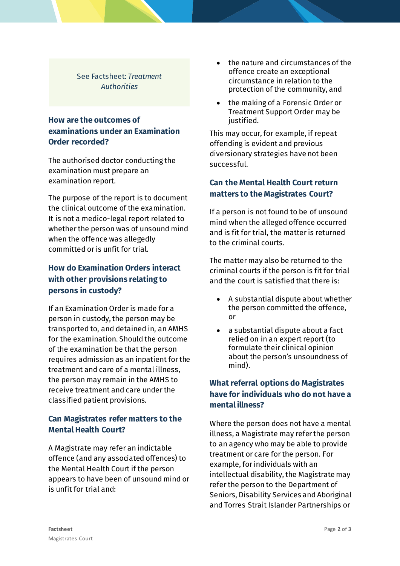#### See Factsheet: *Treatment Authorities*

### **How are the outcomes of examinations under an Examination Order recorded?**

The authorised doctor conducting the examination must prepare an examination report.

The purpose of the report is to document the clinical outcome of the examination. It is not a medico-legal report related to whether the person was of unsound mind when the offence was allegedly committed or is unfit for trial.

## **How do Examination Orders interact with other provisions relating to persons in custody?**

If an Examination Order is made for a person in custody, the person may be transported to, and detained in, an AMHS for the examination. Should the outcome of the examination be that the person requires admission as an inpatient for the treatment and care of a mental illness, the person may remain in the AMHS to receive treatment and care under the classified patient provisions.

#### **Can Magistrates refer matters to the Mental Health Court?**

A Magistrate may refer an indictable offence (and any associated offences) to the Mental Health Court if the person appears to have been of unsound mind or is unfit for trial and:

- the nature and circumstances of the offence create an exceptional circumstance in relation to the protection of the community, and
- the making of a Forensic Order or Treatment Support Order may be justified.

This may occur, for example, if repeat offending is evident and previous diversionary strategies have not been successful.

## **Can the Mental Health Court return matters to the Magistrates Court?**

If a person is not found to be of unsound mind when the alleged offence occurred and is fit for trial, the matter is returned to the criminal courts.

The matter may also be returned to the criminal courts if the person is fit for trial and the court is satisfied that there is:

- A substantial dispute about whether the person committed the offence, or
- a substantial dispute about a fact relied on in an expert report (to formulate their clinical opinion about the person's unsoundness of mind).

## **What referral options do Magistrates have for individuals who do not have a mental illness?**

Where the person does not have a mental illness, a Magistrate may refer the person to an agency who may be able to provide treatment or care for the person. For example, for individuals with an intellectual disability, the Magistrate may refer the person to the Department of Seniors, Disability Services and Aboriginal and Torres Strait Islander Partnerships or